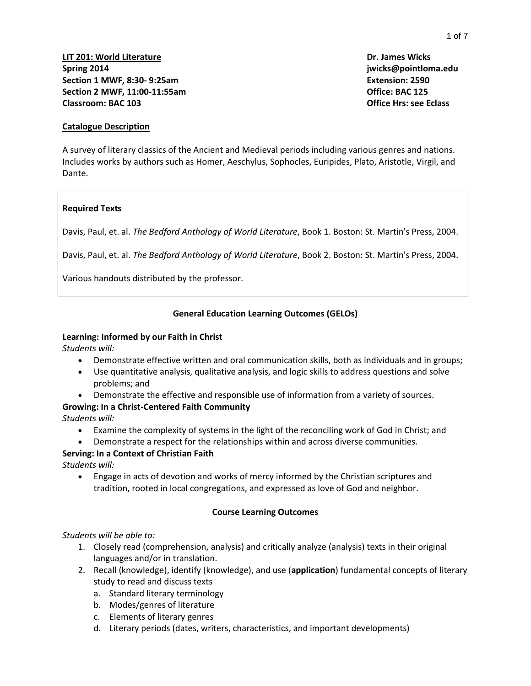### **Catalogue Description**

A survey of literary classics of the Ancient and Medieval periods including various genres and nations. Includes works by authors such as Homer, Aeschylus, Sophocles, Euripides, Plato, Aristotle, Virgil, and Dante.

### **Required Texts**

Davis, Paul, et. al. *The Bedford Anthology of World Literature*, Book 1. Boston: St. Martin's Press, 2004.

Davis, Paul, et. al. *The Bedford Anthology of World Literature*, Book 2. Boston: St. Martin's Press, 2004.

Various handouts distributed by the professor.

### **General Education Learning Outcomes (GELOs)**

#### **Learning: Informed by our Faith in Christ**

*Students will:*

- Demonstrate effective written and oral communication skills, both as individuals and in groups;
- Use quantitative analysis, qualitative analysis, and logic skills to address questions and solve problems; and
- Demonstrate the effective and responsible use of information from a variety of sources.

### **Growing: In a Christ-Centered Faith Community**

*Students will:*

- Examine the complexity of systems in the light of the reconciling work of God in Christ; and
- Demonstrate a respect for the relationships within and across diverse communities.

### **Serving: In a Context of Christian Faith**

*Students will:*

 Engage in acts of devotion and works of mercy informed by the Christian scriptures and tradition, rooted in local congregations, and expressed as love of God and neighbor.

### **Course Learning Outcomes**

### *Students will be able to:*

- 1. Closely read (comprehension, analysis) and critically analyze (analysis) texts in their original languages and/or in translation.
- 2. Recall (knowledge), identify (knowledge), and use (**application**) fundamental concepts of literary study to read and discuss texts
	- a. Standard literary terminology
	- b. Modes/genres of literature
	- c. Elements of literary genres
	- d. Literary periods (dates, writers, characteristics, and important developments)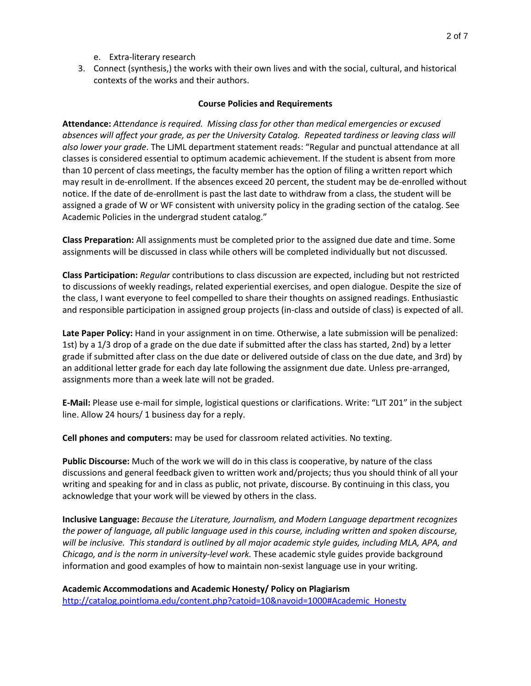- e. Extra-literary research
- 3. Connect (synthesis,) the works with their own lives and with the social, cultural, and historical contexts of the works and their authors.

## **Course Policies and Requirements**

**Attendance:** *Attendance is required. Missing class for other than medical emergencies or excused absences will affect your grade, as per the University Catalog. Repeated tardiness or leaving class will also lower your grade*. The LJML department statement reads: "Regular and punctual attendance at all classes is considered essential to optimum academic achievement. If the student is absent from more than 10 percent of class meetings, the faculty member has the option of filing a written report which may result in de-enrollment. If the absences exceed 20 percent, the student may be de-enrolled without notice. If the date of de-enrollment is past the last date to withdraw from a class, the student will be assigned a grade of W or WF consistent with university policy in the grading section of the catalog. See Academic Policies in the undergrad student catalog."

**Class Preparation:** All assignments must be completed prior to the assigned due date and time. Some assignments will be discussed in class while others will be completed individually but not discussed.

**Class Participation:** *Regular* contributions to class discussion are expected, including but not restricted to discussions of weekly readings, related experiential exercises, and open dialogue. Despite the size of the class, I want everyone to feel compelled to share their thoughts on assigned readings. Enthusiastic and responsible participation in assigned group projects (in-class and outside of class) is expected of all.

**Late Paper Policy:** Hand in your assignment in on time. Otherwise, a late submission will be penalized: 1st) by a 1/3 drop of a grade on the due date if submitted after the class has started, 2nd) by a letter grade if submitted after class on the due date or delivered outside of class on the due date, and 3rd) by an additional letter grade for each day late following the assignment due date. Unless pre-arranged, assignments more than a week late will not be graded.

**E-Mail:** Please use e-mail for simple, logistical questions or clarifications. Write: "LIT 201" in the subject line. Allow 24 hours/ 1 business day for a reply.

**Cell phones and computers:** may be used for classroom related activities. No texting.

**Public Discourse:** Much of the work we will do in this class is cooperative, by nature of the class discussions and general feedback given to written work and/projects; thus you should think of all your writing and speaking for and in class as public, not private, discourse. By continuing in this class, you acknowledge that your work will be viewed by others in the class.

**Inclusive Language:** *Because the Literature, Journalism, and Modern Language department recognizes the power of language, all public language used in this course, including written and spoken discourse, will be inclusive. This standard is outlined by all major academic style guides, including MLA, APA, and Chicago, and is the norm in university-level work.* These academic style guides provide background information and good examples of how to maintain non-sexist language use in your writing.

**Academic Accommodations and Academic Honesty/ Policy on Plagiarism** [http://catalog.pointloma.edu/content.php?catoid=10&navoid=1000#Academic\\_Honesty](http://catalog.pointloma.edu/content.php?catoid=10&navoid=1000#Academic_Honesty)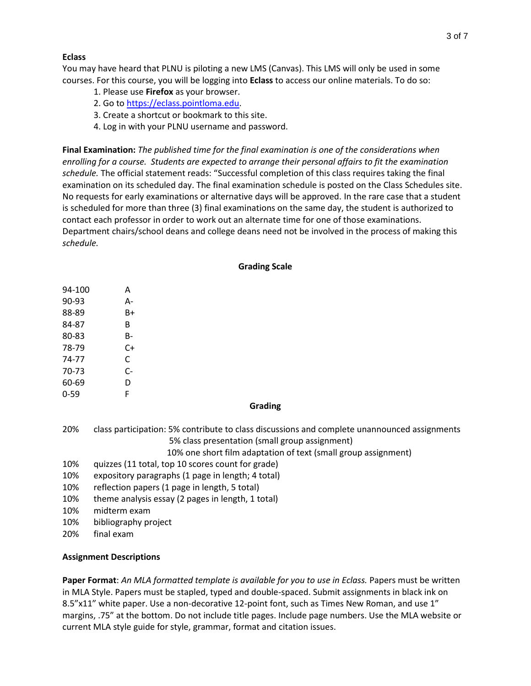# **Eclass**

You may have heard that PLNU is piloting a new LMS (Canvas). This LMS will only be used in some courses. For this course, you will be logging into **Eclass** to access our online materials. To do so:

- 1. Please use **Firefox** as your browser.
- 2. Go to [https://eclass.pointloma.edu.](https://eclass.pointloma.edu/)
- 3. Create a shortcut or bookmark to this site.
- 4. Log in with your PLNU username and password.

**Final Examination:** *The published time for the final examination is one of the considerations when enrolling for a course. Students are expected to arrange their personal affairs to fit the examination schedule.* The official statement reads: "Successful completion of this class requires taking the final examination on its scheduled day. The final examination schedule is posted on the Class Schedules site. No requests for early examinations or alternative days will be approved. In the rare case that a student is scheduled for more than three (3) final examinations on the same day, the student is authorized to contact each professor in order to work out an alternate time for one of those examinations. Department chairs/school deans and college deans need not be involved in the process of making this *schedule.*

## **Grading Scale**

| 94-100 | А  |
|--------|----|
| 90-93  | А- |
| 88-89  | B+ |
| 84-87  | B  |
| 80-83  | B- |
| 78-79  | C+ |
| 74-77  | C  |
| 70-73  | C- |
| 60-69  | D  |
| 0-59   | F  |

### **Grading**

- 20% class participation: 5% contribute to class discussions and complete unannounced assignments 5% class presentation (small group assignment) 10% one short film adaptation of text (small group assignment) 10% quizzes (11 total, top 10 scores count for grade) 10% expository paragraphs (1 page in length; 4 total) 10% reflection papers (1 page in length, 5 total) 10% theme analysis essay (2 pages in length, 1 total) 10% midterm exam 10% bibliography project
- 20% final exam

## **Assignment Descriptions**

**Paper Format**: *An MLA formatted template is available for you to use in Eclass.* Papers must be written in MLA Style. Papers must be stapled, typed and double-spaced. Submit assignments in black ink on 8.5"x11" white paper. Use a non-decorative 12-point font, such as Times New Roman, and use 1" margins, .75" at the bottom. Do not include title pages. Include page numbers. Use the MLA website or current MLA style guide for style, grammar, format and citation issues.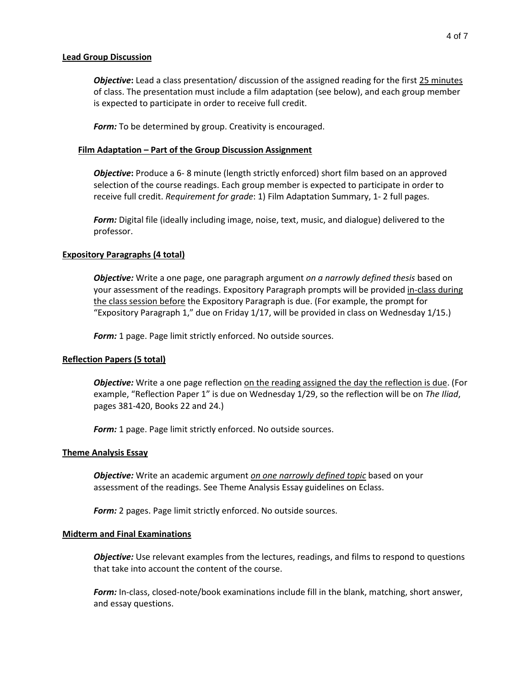### **Lead Group Discussion**

*Objective***:** Lead a class presentation/ discussion of the assigned reading for the first 25 minutes of class. The presentation must include a film adaptation (see below), and each group member is expected to participate in order to receive full credit.

*Form:* To be determined by group. Creativity is encouraged.

### **Film Adaptation – Part of the Group Discussion Assignment**

*Objective*: Produce a 6-8 minute (length strictly enforced) short film based on an approved selection of the course readings. Each group member is expected to participate in order to receive full credit. *Requirement for grade*: 1) Film Adaptation Summary, 1- 2 full pages.

*Form:* Digital file (ideally including image, noise, text, music, and dialogue) delivered to the professor.

## **Expository Paragraphs (4 total)**

*Objective:* Write a one page, one paragraph argument *on a narrowly defined thesis* based on your assessment of the readings. Expository Paragraph prompts will be provided in-class during the class session before the Expository Paragraph is due. (For example, the prompt for "Expository Paragraph 1," due on Friday 1/17, will be provided in class on Wednesday 1/15.)

**Form:** 1 page. Page limit strictly enforced. No outside sources.

### **Reflection Papers (5 total)**

**Objective:** Write a one page reflection on the reading assigned the day the reflection is due. (For example, "Reflection Paper 1" is due on Wednesday 1/29, so the reflection will be on *The Iliad*, pages 381-420, Books 22 and 24.)

**Form:** 1 page. Page limit strictly enforced. No outside sources.

### **Theme Analysis Essay**

*Objective:* Write an academic argument *on one narrowly defined topic* based on your assessment of the readings. See Theme Analysis Essay guidelines on Eclass.

**Form:** 2 pages. Page limit strictly enforced. No outside sources.

### **Midterm and Final Examinations**

*Objective:* Use relevant examples from the lectures, readings, and films to respond to questions that take into account the content of the course.

*Form:* In-class, closed-note/book examinations include fill in the blank, matching, short answer, and essay questions.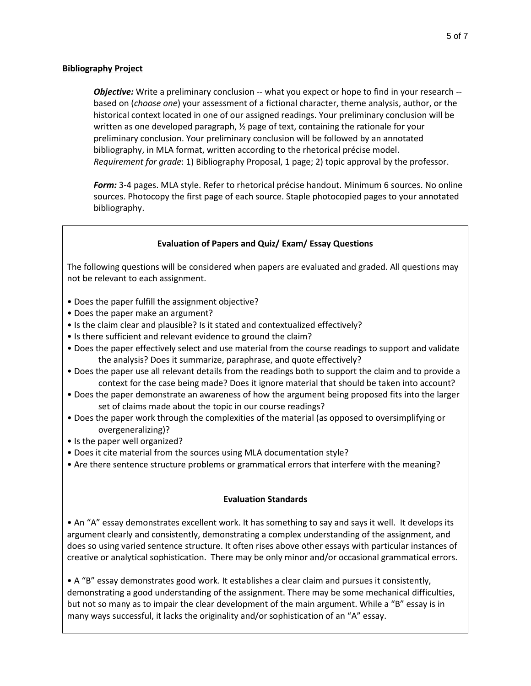## **Bibliography Project**

*Objective:* Write a preliminary conclusion -- what you expect or hope to find in your research -based on (*choose one*) your assessment of a fictional character, theme analysis, author, or the historical context located in one of our assigned readings. Your preliminary conclusion will be written as one developed paragraph, ½ page of text, containing the rationale for your preliminary conclusion. Your preliminary conclusion will be followed by an annotated bibliography, in MLA format, written according to the rhetorical précise model. *Requirement for grade*: 1) Bibliography Proposal, 1 page; 2) topic approval by the professor.

*Form:* 3-4 pages. MLA style. Refer to rhetorical précise handout. Minimum 6 sources. No online sources. Photocopy the first page of each source. Staple photocopied pages to your annotated bibliography.

# **Evaluation of Papers and Quiz/ Exam/ Essay Questions**

The following questions will be considered when papers are evaluated and graded. All questions may not be relevant to each assignment.

- Does the paper fulfill the assignment objective?
- Does the paper make an argument?
- Is the claim clear and plausible? Is it stated and contextualized effectively?
- Is there sufficient and relevant evidence to ground the claim?
- Does the paper effectively select and use material from the course readings to support and validate the analysis? Does it summarize, paraphrase, and quote effectively?
- Does the paper use all relevant details from the readings both to support the claim and to provide a context for the case being made? Does it ignore material that should be taken into account?
- Does the paper demonstrate an awareness of how the argument being proposed fits into the larger set of claims made about the topic in our course readings?
- Does the paper work through the complexities of the material (as opposed to oversimplifying or overgeneralizing)?
- Is the paper well organized?
- Does it cite material from the sources using MLA documentation style?
- Are there sentence structure problems or grammatical errors that interfere with the meaning?

# **Evaluation Standards**

• An "A" essay demonstrates excellent work. It has something to say and says it well. It develops its argument clearly and consistently, demonstrating a complex understanding of the assignment, and does so using varied sentence structure. It often rises above other essays with particular instances of creative or analytical sophistication. There may be only minor and/or occasional grammatical errors.

• A "B" essay demonstrates good work. It establishes a clear claim and pursues it consistently, demonstrating a good understanding of the assignment. There may be some mechanical difficulties, but not so many as to impair the clear development of the main argument. While a "B" essay is in many ways successful, it lacks the originality and/or sophistication of an "A" essay.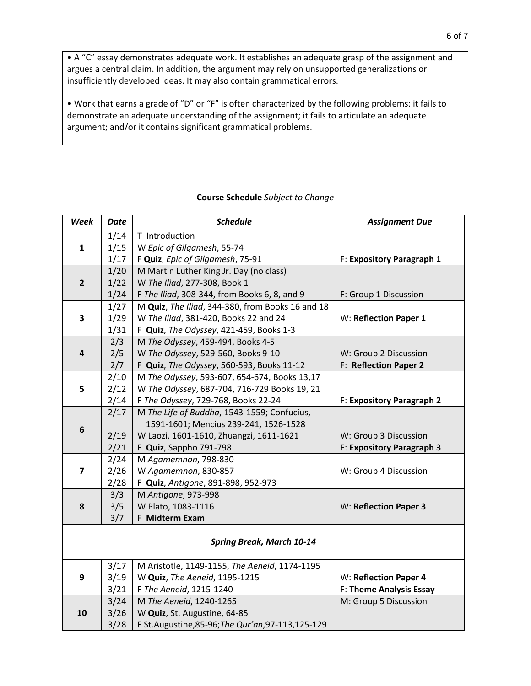• A "C" essay demonstrates adequate work. It establishes an adequate grasp of the assignment and argues a central claim. In addition, the argument may rely on unsupported generalizations or insufficiently developed ideas. It may also contain grammatical errors.

• Work that earns a grade of "D" or "F" is often characterized by the following problems: it fails to demonstrate an adequate understanding of the assignment; it fails to articulate an adequate argument; and/or it contains significant grammatical problems.

| <b>Week</b>                      | <b>Date</b> | <b>Schedule</b>                                     | <b>Assignment Due</b>     |  |  |
|----------------------------------|-------------|-----------------------------------------------------|---------------------------|--|--|
|                                  | 1/14        | T Introduction                                      |                           |  |  |
| $\mathbf{1}$                     | 1/15        | W Epic of Gilgamesh, 55-74                          |                           |  |  |
|                                  | 1/17        | F Quiz, Epic of Gilgamesh, 75-91                    | F: Expository Paragraph 1 |  |  |
|                                  | 1/20        | M Martin Luther King Jr. Day (no class)             |                           |  |  |
| $\overline{2}$                   | 1/22        | W The Iliad, 277-308, Book 1                        |                           |  |  |
|                                  | 1/24        | F The Iliad, 308-344, from Books 6, 8, and 9        | F: Group 1 Discussion     |  |  |
|                                  | 1/27        | M Quiz, The Iliad, 344-380, from Books 16 and 18    |                           |  |  |
| 3                                | 1/29        | W The Iliad, 381-420, Books 22 and 24               | W: Reflection Paper 1     |  |  |
|                                  | 1/31        | F Quiz, The Odyssey, 421-459, Books 1-3             |                           |  |  |
|                                  | 2/3         | M The Odyssey, 459-494, Books 4-5                   |                           |  |  |
| $\overline{\mathbf{4}}$          | 2/5         | W The Odyssey, 529-560, Books 9-10                  | W: Group 2 Discussion     |  |  |
|                                  | 2/7         | F Quiz, The Odyssey, 560-593, Books 11-12           | F: Reflection Paper 2     |  |  |
|                                  | 2/10        | M The Odyssey, 593-607, 654-674, Books 13,17        |                           |  |  |
| 5                                | 2/12        | W The Odyssey, 687-704, 716-729 Books 19, 21        |                           |  |  |
|                                  | 2/14        | F The Odyssey, 729-768, Books 22-24                 | F: Expository Paragraph 2 |  |  |
|                                  | 2/17        | M The Life of Buddha, 1543-1559; Confucius,         |                           |  |  |
| $\boldsymbol{6}$                 |             | 1591-1601; Mencius 239-241, 1526-1528               |                           |  |  |
|                                  | 2/19        | W Laozi, 1601-1610, Zhuangzi, 1611-1621             | W: Group 3 Discussion     |  |  |
|                                  | 2/21        | F Quiz, Sappho 791-798                              | F: Expository Paragraph 3 |  |  |
|                                  | 2/24        | M Agamemnon, 798-830                                |                           |  |  |
| $\overline{\mathbf{z}}$          | 2/26        | W Agamemnon, 830-857                                | W: Group 4 Discussion     |  |  |
|                                  | 2/28        | F Quiz, Antigone, 891-898, 952-973                  |                           |  |  |
|                                  | 3/3         | M Antigone, 973-998                                 |                           |  |  |
| 8                                | 3/5         | W Plato, 1083-1116                                  | W: Reflection Paper 3     |  |  |
|                                  | 3/7         | F Midterm Exam                                      |                           |  |  |
|                                  |             |                                                     |                           |  |  |
| <b>Spring Break, March 10-14</b> |             |                                                     |                           |  |  |
|                                  | 3/17        | M Aristotle, 1149-1155, The Aeneid, 1174-1195       |                           |  |  |
| 9                                | 3/19        | W Quiz, The Aeneid, 1195-1215                       | W: Reflection Paper 4     |  |  |
|                                  | 3/21        | F The Aeneid, 1215-1240                             | F: Theme Analysis Essay   |  |  |
|                                  | 3/24        | M The Aeneid, 1240-1265                             | M: Group 5 Discussion     |  |  |
| 10                               | 3/26        | W Quiz, St. Augustine, 64-85                        |                           |  |  |
|                                  | 3/28        | F St. Augustine, 85-96; The Qur'an, 97-113, 125-129 |                           |  |  |

# **Course Schedule** *Subject to Change*